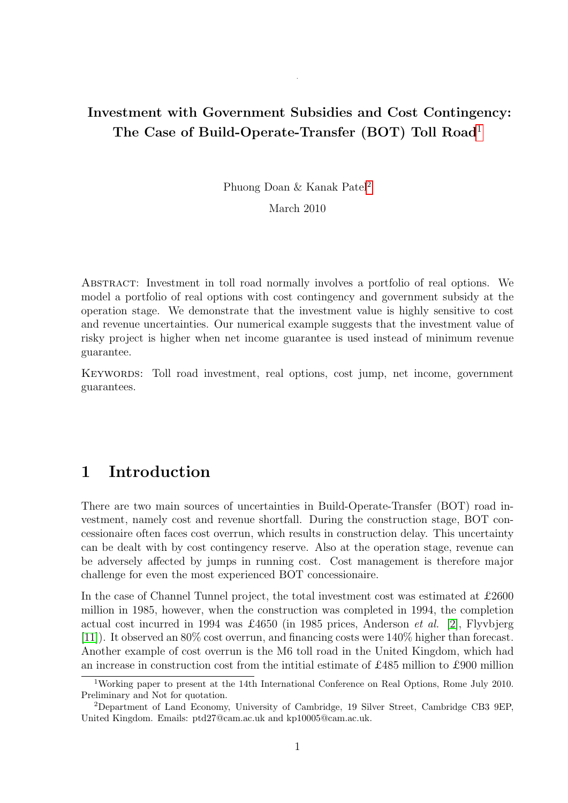## Investment with Government Subsidies and Cost Contingency: The Case of Build-Operate-Transfer (BOT) Toll Road<sup>[1](#page-0-0)</sup>

.

Phuong Doan & Kanak Patel[2](#page-0-1)

March 2010

Abstract: Investment in toll road normally involves a portfolio of real options. We model a portfolio of real options with cost contingency and government subsidy at the operation stage. We demonstrate that the investment value is highly sensitive to cost and revenue uncertainties. Our numerical example suggests that the investment value of risky project is higher when net income guarantee is used instead of minimum revenue guarantee.

KEYWORDS: Toll road investment, real options, cost jump, net income, government guarantees.

# 1 Introduction

There are two main sources of uncertainties in Build-Operate-Transfer (BOT) road investment, namely cost and revenue shortfall. During the construction stage, BOT concessionaire often faces cost overrun, which results in construction delay. This uncertainty can be dealt with by cost contingency reserve. Also at the operation stage, revenue can be adversely affected by jumps in running cost. Cost management is therefore major challenge for even the most experienced BOT concessionaire.

In the case of Channel Tunnel project, the total investment cost was estimated at £2600 million in 1985, however, when the construction was completed in 1994, the completion actual cost incurred in 1994 was £4650 (in 1985 prices, Anderson et al. [\[2\]](#page-15-0), Flyvbjerg [\[11\]](#page-15-1)). It observed an 80% cost overrun, and financing costs were 140% higher than forecast. Another example of cost overrun is the M6 toll road in the United Kingdom, which had an increase in construction cost from the intitial estimate of £485 million to £900 million

<span id="page-0-0"></span><sup>1</sup>Working paper to present at the 14th International Conference on Real Options, Rome July 2010. Preliminary and Not for quotation.

<span id="page-0-1"></span><sup>2</sup>Department of Land Economy, University of Cambridge, 19 Silver Street, Cambridge CB3 9EP, United Kingdom. Emails: ptd27@cam.ac.uk and kp10005@cam.ac.uk.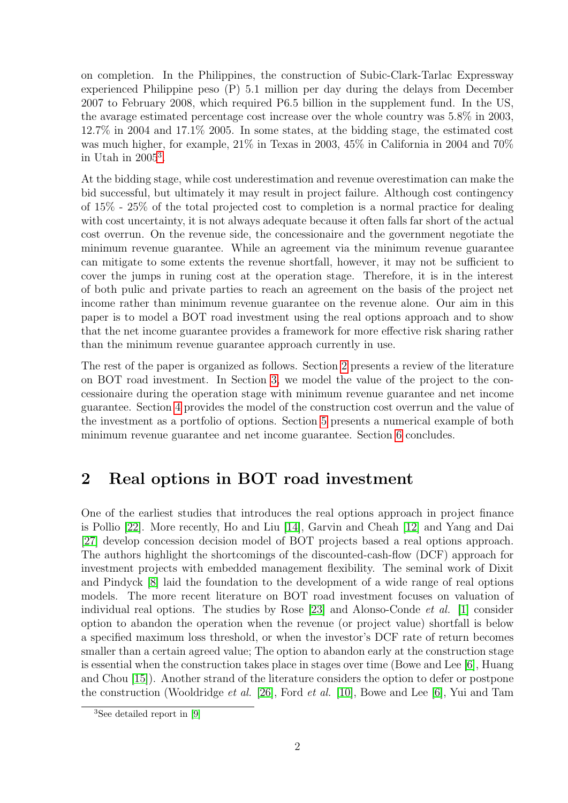on completion. In the Philippines, the construction of Subic-Clark-Tarlac Expressway experienced Philippine peso (P) 5.1 million per day during the delays from December 2007 to February 2008, which required P6.5 billion in the supplement fund. In the US, the avarage estimated percentage cost increase over the whole country was 5.8% in 2003, 12.7% in 2004 and 17.1% 2005. In some states, at the bidding stage, the estimated cost was much higher, for example, 21% in Texas in 2003, 45% in California in 2004 and 70% in Utah in 2005[3](#page-1-0) .

At the bidding stage, while cost underestimation and revenue overestimation can make the bid successful, but ultimately it may result in project failure. Although cost contingency of 15% - 25% of the total projected cost to completion is a normal practice for dealing with cost uncertainty, it is not always adequate because it often falls far short of the actual cost overrun. On the revenue side, the concessionaire and the government negotiate the minimum revenue guarantee. While an agreement via the minimum revenue guarantee can mitigate to some extents the revenue shortfall, however, it may not be sufficient to cover the jumps in runing cost at the operation stage. Therefore, it is in the interest of both pulic and private parties to reach an agreement on the basis of the project net income rather than minimum revenue guarantee on the revenue alone. Our aim in this paper is to model a BOT road investment using the real options approach and to show that the net income guarantee provides a framework for more effective risk sharing rather than the minimum revenue guarantee approach currently in use.

The rest of the paper is organized as follows. Section [2](#page-1-1) presents a review of the literature on BOT road investment. In Section [3,](#page-2-0) we model the value of the project to the concessionaire during the operation stage with minimum revenue guarantee and net income guarantee. Section [4](#page-7-0) provides the model of the construction cost overrun and the value of the investment as a portfolio of options. Section [5](#page-10-0) presents a numerical example of both minimum revenue guarantee and net income guarantee. Section [6](#page-14-0) concludes.

### <span id="page-1-1"></span>2 Real options in BOT road investment

One of the earliest studies that introduces the real options approach in project finance is Pollio [\[22\]](#page-16-0). More recently, Ho and Liu [\[14\]](#page-15-2), Garvin and Cheah [\[12\]](#page-15-3) and Yang and Dai [\[27\]](#page-16-1) develop concession decision model of BOT projects based a real options approach. The authors highlight the shortcomings of the discounted-cash-flow (DCF) approach for investment projects with embedded management flexibility. The seminal work of Dixit and Pindyck [\[8\]](#page-15-4) laid the foundation to the development of a wide range of real options models. The more recent literature on BOT road investment focuses on valuation of individual real options. The studies by Rose  $[23]$  and Alonso-Conde *et al.*  $[1]$  consider option to abandon the operation when the revenue (or project value) shortfall is below a specified maximum loss threshold, or when the investor's DCF rate of return becomes smaller than a certain agreed value; The option to abandon early at the construction stage is essential when the construction takes place in stages over time (Bowe and Lee [\[6\]](#page-15-6), Huang and Chou [\[15\]](#page-15-7)). Another strand of the literature considers the option to defer or postpone the construction (Wooldridge et al. [\[26\]](#page-16-3), Ford et al. [\[10\]](#page-15-8), Bowe and Lee [\[6\]](#page-15-6), Yui and Tam

<span id="page-1-0"></span><sup>3</sup>See detailed report in [\[9\]](#page-15-9)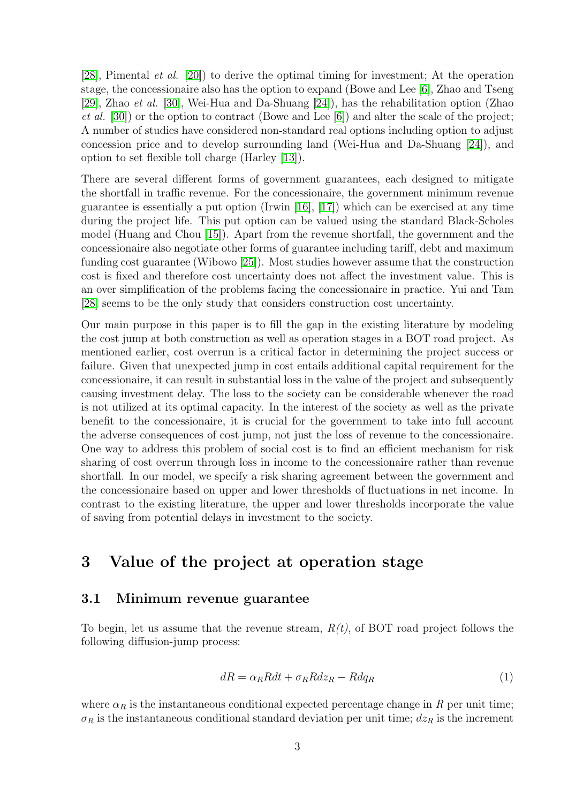[\[28\]](#page-16-4), Pimental et al. [\[20\]](#page-15-10)) to derive the optimal timing for investment; At the operation stage, the concessionaire also has the option to expand (Bowe and Lee [\[6\]](#page-15-6), Zhao and Tseng [\[29\]](#page-16-5), Zhao et al. [\[30\]](#page-16-6), Wei-Hua and Da-Shuang [\[24\]](#page-16-7)), has the rehabilitation option (Zhao *et al.* [\[30\]](#page-16-6)) or the option to contract (Bowe and Lee [\[6\]](#page-15-6)) and alter the scale of the project; A number of studies have considered non-standard real options including option to adjust concession price and to develop surrounding land (Wei-Hua and Da-Shuang [\[24\]](#page-16-7)), and option to set flexible toll charge (Harley [\[13\]](#page-15-11)).

There are several different forms of government guarantees, each designed to mitigate the shortfall in traffic revenue. For the concessionaire, the government minimum revenue guarantee is essentially a put option (Irwin [\[16\]](#page-15-12), [\[17\]](#page-15-13)) which can be exercised at any time during the project life. This put option can be valued using the standard Black-Scholes model (Huang and Chou [\[15\]](#page-15-7)). Apart from the revenue shortfall, the government and the concessionaire also negotiate other forms of guarantee including tariff, debt and maximum funding cost guarantee (Wibowo [\[25\]](#page-16-8)). Most studies however assume that the construction cost is fixed and therefore cost uncertainty does not affect the investment value. This is an over simplification of the problems facing the concessionaire in practice. Yui and Tam [\[28\]](#page-16-4) seems to be the only study that considers construction cost uncertainty.

Our main purpose in this paper is to fill the gap in the existing literature by modeling the cost jump at both construction as well as operation stages in a BOT road project. As mentioned earlier, cost overrun is a critical factor in determining the project success or failure. Given that unexpected jump in cost entails additional capital requirement for the concessionaire, it can result in substantial loss in the value of the project and subsequently causing investment delay. The loss to the society can be considerable whenever the road is not utilized at its optimal capacity. In the interest of the society as well as the private benefit to the concessionaire, it is crucial for the government to take into full account the adverse consequences of cost jump, not just the loss of revenue to the concessionaire. One way to address this problem of social cost is to find an efficient mechanism for risk sharing of cost overrun through loss in income to the concessionaire rather than revenue shortfall. In our model, we specify a risk sharing agreement between the government and the concessionaire based on upper and lower thresholds of fluctuations in net income. In contrast to the existing literature, the upper and lower thresholds incorporate the value of saving from potential delays in investment to the society.

## <span id="page-2-0"></span>3 Value of the project at operation stage

#### 3.1 Minimum revenue guarantee

To begin, let us assume that the revenue stream,  $R(t)$ , of BOT road project follows the following diffusion-jump process:

$$
dR = \alpha_R R dt + \sigma_R R dz_R - R dq_R \tag{1}
$$

where  $\alpha_R$  is the instantaneous conditional expected percentage change in R per unit time;  $\sigma_R$  is the instantaneous conditional standard deviation per unit time;  $dz_R$  is the increment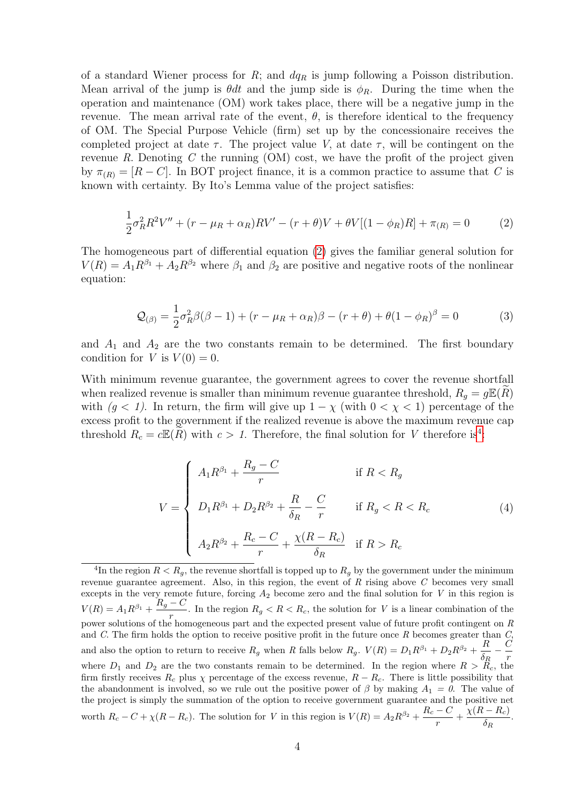of a standard Wiener process for  $R$ ; and  $dq<sub>R</sub>$  is jump following a Poisson distribution. Mean arrival of the jump is  $\theta dt$  and the jump side is  $\phi_R$ . During the time when the operation and maintenance (OM) work takes place, there will be a negative jump in the revenue. The mean arrival rate of the event,  $\theta$ , is therefore identical to the frequency of OM. The Special Purpose Vehicle (firm) set up by the concessionaire receives the completed project at date  $\tau$ . The project value V, at date  $\tau$ , will be contingent on the revenue R. Denoting C the running  $(OM)$  cost, we have the profit of the project given by  $\pi_{(R)} = [R - C]$ . In BOT project finance, it is a common practice to assume that C is known with certainty. By Ito's Lemma value of the project satisfies:

<span id="page-3-0"></span>
$$
\frac{1}{2}\sigma_R^2 R^2 V'' + (r - \mu_R + \alpha_R)RV' - (r + \theta)V + \theta V[(1 - \phi_R)R] + \pi_{(R)} = 0
$$
 (2)

The homogeneous part of differential equation [\(2\)](#page-3-0) gives the familiar general solution for  $V(R) = A_1 R^{\beta_1} + A_2 R^{\beta_2}$  where  $\beta_1$  and  $\beta_2$  are positive and negative roots of the nonlinear equation:

$$
\mathcal{Q}_{(\beta)} = \frac{1}{2}\sigma_R^2 \beta(\beta - 1) + (r - \mu_R + \alpha_R)\beta - (r + \theta) + \theta(1 - \phi_R)^{\beta} = 0
$$
 (3)

and  $A_1$  and  $A_2$  are the two constants remain to be determined. The first boundary condition for V is  $V(0) = 0$ .

With minimum revenue guarantee, the government agrees to cover the revenue shortfall when realized revenue is smaller than minimum revenue guarantee threshold,  $R_q = g\mathbb{E}(R)$ with  $(g < 1)$ . In return, the firm will give up  $1 - \chi$  (with  $0 < \chi < 1$ ) percentage of the excess profit to the government if the realized revenue is above the maximum revenue cap threshold  $R_c = c \mathbb{E}(\widetilde{R})$  with  $c > 1$ . Therefore, the final solution for V therefore is<sup>[4](#page-3-1)</sup>:

<span id="page-3-2"></span>
$$
V = \begin{cases} A_1 R^{\beta_1} + \frac{R_g - C}{r} & \text{if } R < R_g \\ D_1 R^{\beta_1} + D_2 R^{\beta_2} + \frac{R}{\delta_R} - \frac{C}{r} & \text{if } R_g < R < R_c \\ A_2 R^{\beta_2} + \frac{R_c - C}{r} + \frac{\chi(R - R_c)}{\delta_R} & \text{if } R > R_c \end{cases}
$$
(4)

<span id="page-3-1"></span><sup>&</sup>lt;sup>4</sup>In the region  $R < R_g$ , the revenue shortfall is topped up to  $R_g$  by the government under the minimum revenue guarantee agreement. Also, in this region, the event of  $R$  rising above  $C$  becomes very small excepts in the very remote future, forcing  $A_2$  become zero and the final solution for V in this region is  $V(R) = A_1 R^{\beta_1} + \frac{R_g - C}{r}$ . In the region  $R_g < R < R_c$ , the solution for V is a linear combination of the power solutions of the homogeneous part and the expected present value of future profit contingent on  $R$ and C. The firm holds the option to receive positive profit in the future once  $R$  becomes greater than  $C$ , and also the option to return to receive  $R_g$  when R falls below  $R_g$ .  $V(R) = D_1 R^{\beta_1} + D_2 R^{\beta_2} + \frac{R_g}{s}$  $\frac{R}{\delta_R} - \frac{C}{r}$ r where  $D_1$  and  $D_2$  are the two constants remain to be determined. In the region where  $R > R_c$ , the firm firstly receives  $R_c$  plus  $\chi$  percentage of the excess revenue,  $R - R_c$ . There is little possibility that the abandonment is involved, so we rule out the positive power of  $\beta$  by making  $A_1 = 0$ . The value of the project is simply the summation of the option to receive government guarantee and the positive net worth  $R_c - C + \chi(R - R_c)$ . The solution for V in this region is  $V(R) = A_2 R^{\beta_2} + \frac{R_c - C}{r}$  $\frac{C}{r} + \frac{\chi(R - R_c)}{\delta_R}$  $\frac{r_{c}}{\delta_{R}}$ .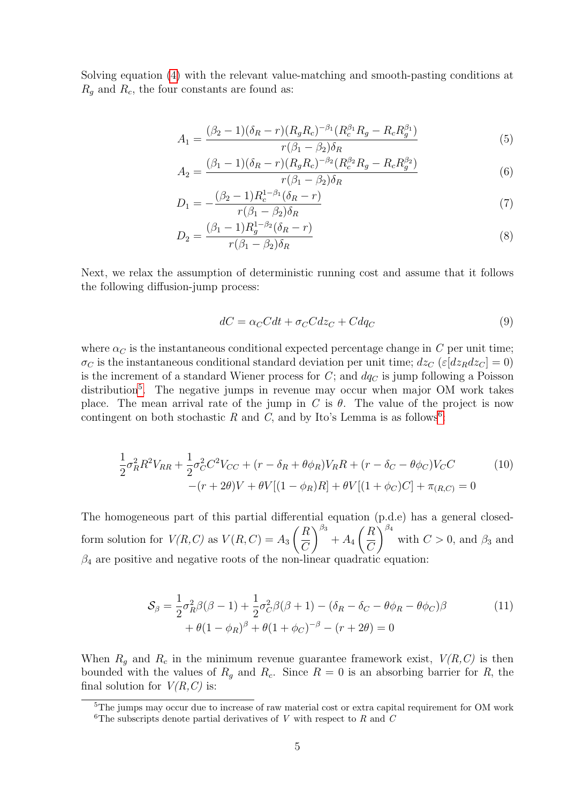Solving equation [\(4\)](#page-3-2) with the relevant value-matching and smooth-pasting conditions at  $R_q$  and  $R_c$ , the four constants are found as:

$$
A_1 = \frac{(\beta_2 - 1)(\delta_R - r)(R_g R_c)^{-\beta_1} (R_c^{\beta_1} R_g - R_c R_g^{\beta_1})}{r(\beta_1 - \beta_2)\delta_R} \tag{5}
$$

$$
A_2 = \frac{(\beta_1 - 1)(\delta_R - r)(R_g R_c)^{-\beta_2} (R_c^{\beta_2} R_g - R_c R_g^{\beta_2})}{r(\beta_1 - \beta_2)\delta_R} \tag{6}
$$

$$
D_1 = -\frac{(\beta_2 - 1)R_c^{1-\beta_1}(\delta_R - r)}{r(\beta_1 - \beta_2)\delta_R}
$$
\n(7)

$$
D_2 = \frac{(\beta_1 - 1)R_g^{1 - \beta_2}(\delta_R - r)}{r(\beta_1 - \beta_2)\delta_R}
$$
\n(8)

Next, we relax the assumption of deterministic running cost and assume that it follows the following diffusion-jump process:

$$
dC = \alpha_C C dt + \sigma_C C dz_C + C dq_C \tag{9}
$$

where  $\alpha_C$  is the instantaneous conditional expected percentage change in C per unit time;  $\sigma_C$  is the instantaneous conditional standard deviation per unit time;  $dz_C$  ( $\varepsilon [dz_R dz_C] = 0$ ) is the increment of a standard Wiener process for  $C$ ; and  $dq<sub>C</sub>$  is jump following a Poisson distribution<sup>[5](#page-4-0)</sup>. The negative jumps in revenue may occur when major OM work takes place. The mean arrival rate of the jump in C is  $\theta$ . The value of the project is now contingent on both stochastic R and C, and by Ito's Lemma is as follows<sup>[6](#page-4-1)</sup>:

$$
\frac{1}{2}\sigma_R^2 R^2 V_{RR} + \frac{1}{2}\sigma_C^2 C^2 V_{CC} + (r - \delta_R + \theta \phi_R) V_R R + (r - \delta_C - \theta \phi_C) V_C C
$$
\n
$$
-(r + 2\theta)V + \theta V[(1 - \phi_R)R] + \theta V[(1 + \phi_C)C] + \pi_{(R,C)} = 0
$$
\n(10)

The homogeneous part of this partial differential equation (p.d.e) has a general closedform solution for  $V(R, C)$  as  $V(R, C) = A_3$  $\bigcap R$  $\mathcal{C}$  $\bigwedge^{\beta_3}$  $+A_4$  $\bigcap R$  $\mathcal{C}$  $\bigwedge^{\beta_4}$ with  $C > 0$ , and  $\beta_3$  and  $\beta_4$  are positive and negative roots of the non-linear quadratic equation:

$$
S_{\beta} = \frac{1}{2}\sigma_R^2 \beta(\beta - 1) + \frac{1}{2}\sigma_C^2 \beta(\beta + 1) - (\delta_R - \delta_C - \theta \phi_R - \theta \phi_C)\beta + \theta(1 - \phi_R)^{\beta} + \theta(1 + \phi_C)^{-\beta} - (r + 2\theta) = 0
$$
\n(11)

When  $R_g$  and  $R_c$  in the minimum revenue guarantee framework exist,  $V(R,C)$  is then bounded with the values of  $R<sub>g</sub>$  and  $R<sub>c</sub>$ . Since  $R = 0$  is an absorbing barrier for R, the final solution for  $V(R, C)$  is:

<span id="page-4-1"></span><span id="page-4-0"></span><sup>&</sup>lt;sup>5</sup>The jumps may occur due to increase of raw material cost or extra capital requirement for OM work <sup>6</sup>The subscripts denote partial derivatives of V with respect to R and C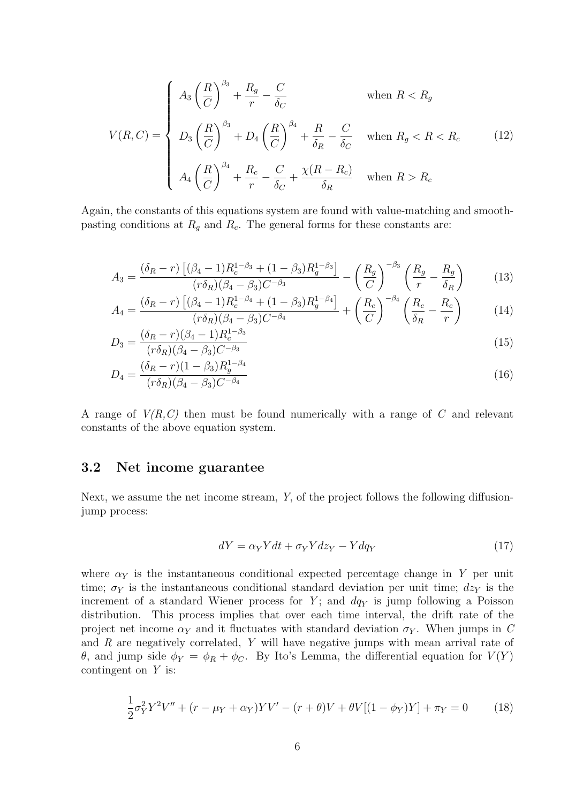$$
V(R,C) = \begin{cases} A_3 \left(\frac{R}{C}\right)^{\beta_3} + \frac{R_g}{r} - \frac{C}{\delta_C} & \text{when } R < R_g\\ D_3 \left(\frac{R}{C}\right)^{\beta_3} + D_4 \left(\frac{R}{C}\right)^{\beta_4} + \frac{R}{\delta_R} - \frac{C}{\delta_C} & \text{when } R_g < R < R_c\\ A_4 \left(\frac{R}{C}\right)^{\beta_4} + \frac{R_c}{r} - \frac{C}{\delta_C} + \frac{\chi(R - R_c)}{\delta_R} & \text{when } R > R_c \end{cases}
$$
(12)

Again, the constants of this equations system are found with value-matching and smoothpasting conditions at  $R_q$  and  $R_c$ . The general forms for these constants are:

$$
A_3 = \frac{(\delta_R - r) \left[ (\beta_4 - 1) R_c^{1 - \beta_3} + (1 - \beta_3) R_g^{1 - \beta_3} \right]}{(r \delta_R)(\beta_4 - \beta_3) C^{-\beta_3}} - \left(\frac{R_g}{C}\right)^{-\beta_3} \left(\frac{R_g}{r} - \frac{R_g}{\delta_R}\right)
$$
(13)

$$
A_4 = \frac{(\delta_R - r) \left[ (\beta_4 - 1) R_c^{1 - \beta_4} + (1 - \beta_3) R_g^{1 - \beta_4} \right]}{(r \delta_R)(\beta_4 - \beta_3) C^{-\beta_4}} + \left( \frac{R_c}{C} \right)^{-\beta_4} \left( \frac{R_c}{\delta_R} - \frac{R_c}{r} \right)
$$
(14)

$$
D_3 = \frac{(\delta_R - r)(\beta_4 - 1)R_c^{1 - \beta_3}}{(r\delta_R)(\beta_4 - \beta_3)C^{-\beta_3}}
$$
\n(15)

$$
D_4 = \frac{(\delta_R - r)(1 - \beta_3)R_g^{1 - \beta_4}}{(r\delta_R)(\beta_4 - \beta_3)C^{-\beta_4}}
$$
\n(16)

A range of  $V(R,C)$  then must be found numerically with a range of C and relevant constants of the above equation system.

#### 3.2 Net income guarantee

Next, we assume the net income stream, Y, of the project follows the following diffusionjump process:

$$
dY = \alpha_Y Ydt + \sigma_Y Ydz_Y - Ydq_Y \tag{17}
$$

where  $\alpha_Y$  is the instantaneous conditional expected percentage change in Y per unit time;  $\sigma_Y$  is the instantaneous conditional standard deviation per unit time;  $dz_Y$  is the increment of a standard Wiener process for Y; and  $dq<sub>Y</sub>$  is jump following a Poisson distribution. This process implies that over each time interval, the drift rate of the project net income  $\alpha_Y$  and it fluctuates with standard deviation  $\sigma_Y$ . When jumps in C and R are negatively correlated, Y will have negative jumps with mean arrival rate of θ, and jump side  $φ_Y = φ_R + φ_C$ . By Ito's Lemma, the differential equation for  $V(Y)$ contingent on Y is:

<span id="page-5-0"></span>
$$
\frac{1}{2}\sigma_Y^2 Y^2 V'' + (r - \mu_Y + \alpha_Y)YV' - (r + \theta)V + \theta V[(1 - \phi_Y)Y] + \pi_Y = 0 \tag{18}
$$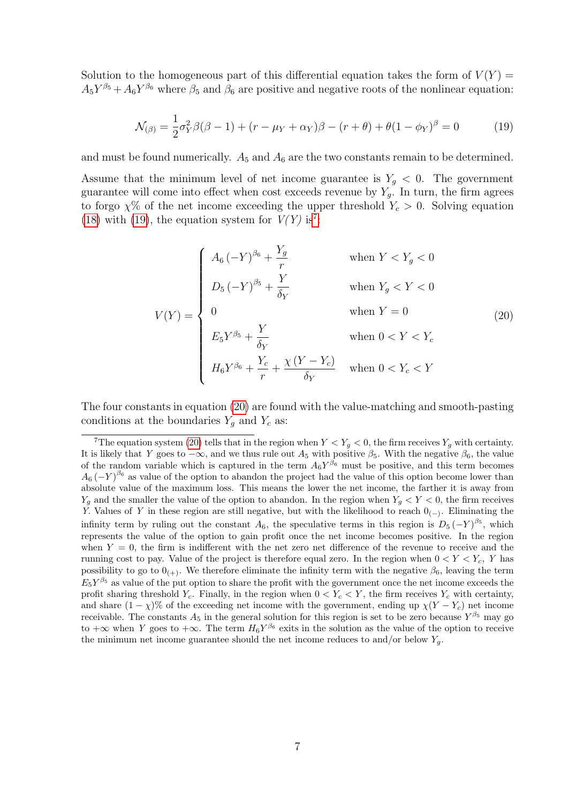Solution to the homogeneous part of this differential equation takes the form of  $V(Y)$  $A_5 Y^{\beta_5} + A_6 Y^{\beta_6}$  where  $\beta_5$  and  $\beta_6$  are positive and negative roots of the nonlinear equation:

<span id="page-6-0"></span>
$$
\mathcal{N}_{(\beta)} = \frac{1}{2}\sigma_Y^2 \beta(\beta - 1) + (r - \mu_Y + \alpha_Y)\beta - (r + \theta) + \theta(1 - \phi_Y)^{\beta} = 0
$$
 (19)

and must be found numerically.  $A_5$  and  $A_6$  are the two constants remain to be determined.

Assume that the minimum level of net income guarantee is  $Y_g < 0$ . The government guarantee will come into effect when cost exceeds revenue by  $Y_q$ . In turn, the firm agrees to forgo  $\chi$ % of the net income exceeding the upper threshold  $Y_c > 0$ . Solving equation [\(18\)](#page-5-0) with [\(19\)](#page-6-0), the equation system for  $V(Y)$  is<sup>[7](#page-6-1)</sup>:

<span id="page-6-2"></span>
$$
V(Y) = \begin{cases} A_6 \left(-Y\right)^{\beta_6} + \frac{Y_g}{r} & \text{when } Y < Y_g < 0 \\ D_5 \left(-Y\right)^{\beta_5} + \frac{Y}{\delta_Y} & \text{when } Y_g < Y < 0 \\ 0 & \text{when } Y = 0 \\ E_5 Y^{\beta_5} + \frac{Y}{\delta_Y} & \text{when } 0 < Y < Y_c \\ H_6 Y^{\beta_6} + \frac{Y_c}{r} + \frac{\chi(Y - Y_c)}{\delta_Y} & \text{when } 0 < Y_c < Y \end{cases} \tag{20}
$$

The four constants in equation [\(20\)](#page-6-2) are found with the value-matching and smooth-pasting conditions at the boundaries  $Y_g$  and  $Y_c$  as:

<span id="page-6-1"></span><sup>&</sup>lt;sup>7</sup>The equation system [\(20\)](#page-6-2) tells that in the region when  $Y < Y<sub>g</sub> < 0$ , the firm receives  $Y<sub>g</sub>$  with certainty. It is likely that Y goes to  $-\infty$ , and we thus rule out  $A_5$  with positive  $\beta_5$ . With the negative  $\beta_6$ , the value of the random variable which is captured in the term  $A_6Y^{\beta_6}$  must be positive, and this term becomes  $A_6 (-Y)^{\beta_6}$  as value of the option to abandon the project had the value of this option become lower than absolute value of the maximum loss. This means the lower the net income, the farther it is away from  $Y_q$  and the smaller the value of the option to abandon. In the region when  $Y_q < Y < 0$ , the firm receives Y. Values of Y in these region are still negative, but with the likelihood to reach  $0_{(-)}$ . Eliminating the infinity term by ruling out the constant  $A_6$ , the speculative terms in this region is  $D_5(-Y)^{\beta_5}$ , which represents the value of the option to gain profit once the net income becomes positive. In the region when  $Y = 0$ , the firm is indifferent with the net zero net difference of the revenue to receive and the running cost to pay. Value of the project is therefore equal zero. In the region when  $0 < Y < Y_c$ , Y has possibility to go to  $0_{(+)}$ . We therefore eliminate the infinity term with the negative  $\beta_6$ , leaving the term  $E_5Y^{\beta_5}$  as value of the put option to share the profit with the government once the net income exceeds the profit sharing threshold  $Y_c$ . Finally, in the region when  $0 < Y_c < Y$ , the firm receives  $Y_c$  with certainty, and share  $(1 - \chi)$ % of the exceeding net income with the government, ending up  $\chi(Y - Y_c)$  net income receivable. The constants  $A_5$  in the general solution for this region is set to be zero because  $Y^{\beta_5}$  may go to  $+\infty$  when Y goes to  $+\infty$ . The term  $H_6Y^{\beta_6}$  exits in the solution as the value of the option to receive the minimum net income guarantee should the net income reduces to and/or below  $Y_q$ .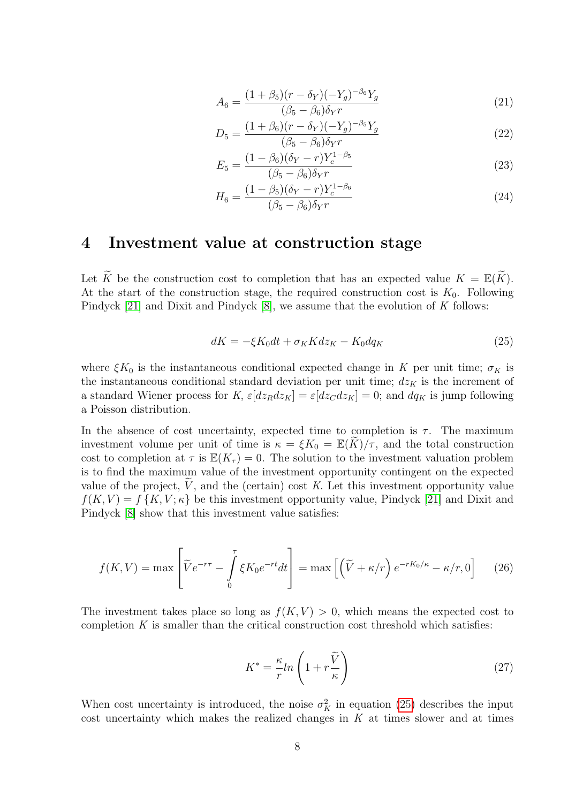$$
A_6 = \frac{(1+\beta_5)(r-\delta_Y)(-Y_g)^{-\beta_6}Y_g}{(\beta_5-\beta_6)\delta_Y r}
$$
\n(21)

$$
D_5 = \frac{(1+\beta_6)(r-\delta_Y)(-Y_g)^{-\beta_5}Y_g}{(\beta_5-\beta_6)\delta_Y r}
$$
\n(22)

$$
E_5 = \frac{(1 - \beta_6)(\delta_Y - r)Y_c^{1 - \beta_5}}{(\beta_5 - \beta_6)\delta_Y r}
$$
\n(23)

$$
H_6 = \frac{(1 - \beta_5)(\delta_Y - r)Y_c^{1 - \beta_6}}{(\beta_5 - \beta_6)\delta_Y r}
$$
\n(24)

### <span id="page-7-0"></span>4 Investment value at construction stage

Let  $\widetilde{K}$  be the construction cost to completion that has an expected value  $K = \mathbb{E}(\widetilde{K})$ . At the start of the construction stage, the required construction cost is  $K_0$ . Following Pindyck [\[21\]](#page-15-14) and Dixit and Pindyck [\[8\]](#page-15-4), we assume that the evolution of K follows:

<span id="page-7-1"></span>
$$
dK = -\xi K_0 dt + \sigma_K K dz_K - K_0 dq_K \tag{25}
$$

where  $\xi K_0$  is the instantaneous conditional expected change in K per unit time;  $\sigma_K$  is the instantaneous conditional standard deviation per unit time;  $dz_K$  is the increment of a standard Wiener process for K,  $\varepsilon[dz_Rdz_K] = \varepsilon[dz_Cdz_K] = 0$ ; and  $dq_K$  is jump following a Poisson distribution.

In the absence of cost uncertainty, expected time to completion is  $\tau$ . The maximum investment volume per unit of time is  $\kappa = \xi K_0 = \mathbb{E}(K)/\tau$ , and the total construction cost to completion at  $\tau$  is  $\mathbb{E}(K_{\tau}) = 0$ . The solution to the investment valuation problem is to find the maximum value of the investment opportunity contingent on the expected value of the project,  $\hat{V}$ , and the (certain) cost K. Let this investment opportunity value  $f(K, V) = f\{K, V; \kappa\}$  be this investment opportunity value, Pindyck [\[21\]](#page-15-14) and Dixit and Pindyck [\[8\]](#page-15-4) show that this investment value satisfies:

$$
f(K,V) = \max \left[ \widetilde{V}e^{-r\tau} - \int_{0}^{\tau} \xi K_0 e^{-rt} dt \right] = \max \left[ \left( \widetilde{V} + \kappa/r \right) e^{-rK_0/\kappa} - \kappa/r, 0 \right] \tag{26}
$$

The investment takes place so long as  $f(K, V) > 0$ , which means the expected cost to completion  $K$  is smaller than the critical construction cost threshold which satisfies:

<span id="page-7-2"></span>
$$
K^* = \frac{\kappa}{r} ln\left(1 + r\frac{\widetilde{V}}{\kappa}\right) \tag{27}
$$

When cost uncertainty is introduced, the noise  $\sigma_K^2$  in equation [\(25\)](#page-7-1) describes the input cost uncertainty which makes the realized changes in  $K$  at times slower and at times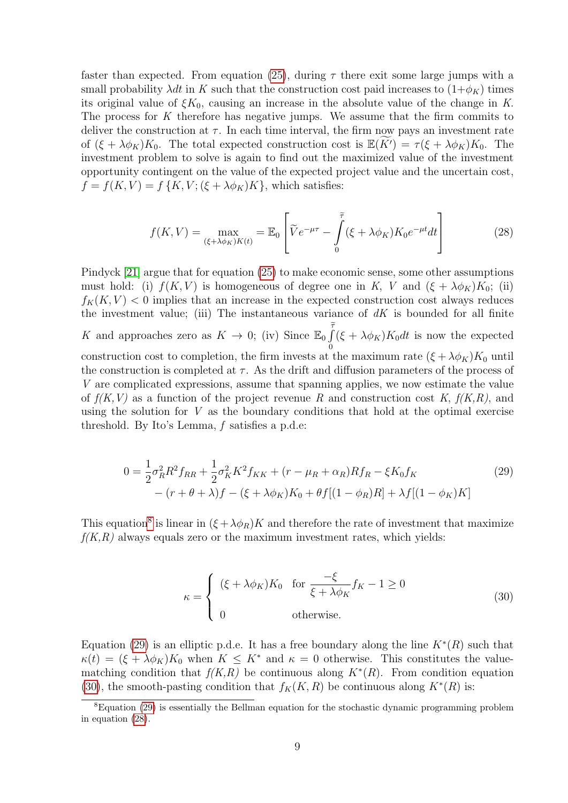faster than expected. From equation [\(25\)](#page-7-1), during  $\tau$  there exit some large jumps with a small probability  $\lambda dt$  in K such that the construction cost paid increases to  $(1+\phi_K)$  times its original value of  $\xi K_0$ , causing an increase in the absolute value of the change in K. The process for  $K$  therefore has negative jumps. We assume that the firm commits to deliver the construction at  $\tau$ . In each time interval, the firm now pays an investment rate of  $(\xi + \lambda \phi_K)K_0$ . The total expected construction cost is  $\mathbb{E}(\widetilde{K}) = \tau(\xi + \lambda \phi_K)K_0$ . The investment problem to solve is again to find out the maximized value of the investment opportunity contingent on the value of the expected project value and the uncertain cost,  $f = f(K, V) = f\{K, V; (\xi + \lambda \phi_K)K\}$ , which satisfies:

<span id="page-8-3"></span>
$$
f(K,V) = \max_{(\xi + \lambda \phi_K)K(t)} = \mathbb{E}_0 \left[ \widetilde{V}e^{-\mu\tau} - \int_0^{\widetilde{\tau}} (\xi + \lambda \phi_K)K_0 e^{-\mu t} dt \right]
$$
(28)

Pindyck [\[21\]](#page-15-14) argue that for equation [\(25\)](#page-7-1) to make economic sense, some other assumptions must hold: (i)  $f(K, V)$  is homogeneous of degree one in K, V and  $(\xi + \lambda \phi_K)K_0$ ; (ii)  $f_K(K, V) < 0$  implies that an increase in the expected construction cost always reduces the investment value; (iii) The instantaneous variance of  $dK$  is bounded for all finite K and approaches zero as  $K \to 0$ ; (iv) Since  $\mathbb{E}_0 \int_{0}^{\tilde{\tau}}$ 0  $(\xi + \lambda \phi_K) K_0 dt$  is now the expected construction cost to completion, the firm invests at the maximum rate  $(\xi + \lambda \phi_K)K_0$  until the construction is completed at  $\tau$ . As the drift and diffusion parameters of the process of V are complicated expressions, assume that spanning applies, we now estimate the value of  $f(K, V)$  as a function of the project revenue R and construction cost K,  $f(K, R)$ , and using the solution for  $V$  as the boundary conditions that hold at the optimal exercise threshold. By Ito's Lemma, f satisfies a p.d.e:

$$
0 = \frac{1}{2}\sigma_R^2 R^2 f_{RR} + \frac{1}{2}\sigma_K^2 K^2 f_{KK} + (r - \mu_R + \alpha_R)R f_R - \xi K_0 f_K
$$
  
 
$$
- (r + \theta + \lambda)f - (\xi + \lambda \phi_K)K_0 + \theta f[(1 - \phi_R)R] + \lambda f[(1 - \phi_K)K]
$$
(29)

This equation<sup>[8](#page-8-0)</sup> is linear in  $(\xi + \lambda \phi_R)K$  and therefore the rate of investment that maximize  $f(K,R)$  always equals zero or the maximum investment rates, which yields:

<span id="page-8-2"></span><span id="page-8-1"></span>
$$
\kappa = \begin{cases} (\xi + \lambda \phi_K) K_0 & \text{for } \frac{-\xi}{\xi + \lambda \phi_K} f_K - 1 \ge 0 \\ 0 & \text{otherwise.} \end{cases}
$$
(30)

Equation [\(29\)](#page-8-1) is an elliptic p.d.e. It has a free boundary along the line  $K^*(R)$  such that  $\kappa(t) = (\xi + \lambda \phi_K) K_0$  when  $K \leq K^*$  and  $\kappa = 0$  otherwise. This constitutes the valuematching condition that  $f(K,R)$  be continuous along  $K^*(R)$ . From condition equation [\(30\)](#page-8-2), the smooth-pasting condition that  $f_K(K, R)$  be continuous along  $K^*(R)$  is:

<span id="page-8-0"></span><sup>&</sup>lt;sup>8</sup>Equation [\(29\)](#page-8-1) is essentially the Bellman equation for the stochastic dynamic programming problem in equation [\(28\)](#page-8-3).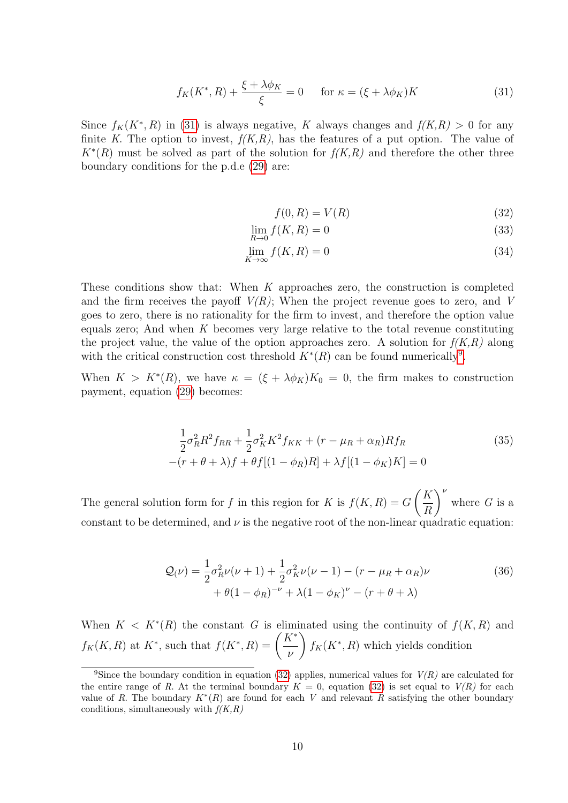<span id="page-9-0"></span>
$$
f_K(K^*, R) + \frac{\xi + \lambda \phi_K}{\xi} = 0 \quad \text{for } \kappa = (\xi + \lambda \phi_K)K \tag{31}
$$

Since  $f_K(K^*, R)$  in [\(31\)](#page-9-0) is always negative, K always changes and  $f(K,R) > 0$  for any finite K. The option to invest,  $f(K, R)$ , has the features of a put option. The value of  $K^*(R)$  must be solved as part of the solution for  $f(K,R)$  and therefore the other three boundary conditions for the p.d.e [\(29\)](#page-8-1) are:

<span id="page-9-3"></span><span id="page-9-2"></span>
$$
f(0,R) = V(R) \tag{32}
$$

$$
\lim_{R \to 0} f(K, R) = 0 \tag{33}
$$

$$
\lim_{K \to \infty} f(K, R) = 0 \tag{34}
$$

These conditions show that: When K approaches zero, the construction is completed and the firm receives the payoff  $V(R)$ ; When the project revenue goes to zero, and V goes to zero, there is no rationality for the firm to invest, and therefore the option value equals zero; And when K becomes very large relative to the total revenue constituting the project value, the value of the option approaches zero. A solution for  $f(K,R)$  along with the critical construction cost threshold  $K^*(R)$  can be found numerically<sup>[9](#page-9-1)</sup>.

When  $K > K^*(R)$ , we have  $\kappa = (\xi + \lambda \phi_K)K_0 = 0$ , the firm makes to construction payment, equation [\(29\)](#page-8-1) becomes:

$$
\frac{1}{2}\sigma_R^2 R^2 f_{RR} + \frac{1}{2}\sigma_K^2 K^2 f_{KK} + (r - \mu_R + \alpha_R) R f_R
$$
\n
$$
-(r + \theta + \lambda)f + \theta f[(1 - \phi_R)R] + \lambda f[(1 - \phi_K)K] = 0
$$
\n(35)

The general solution form for f in this region for K is  $f(K, R) = G$  $\sqrt{K}$ R  $\setminus^{\nu}$ where  $G$  is a constant to be determined, and  $\nu$  is the negative root of the non-linear quadratic equation:

$$
\mathcal{Q}(\nu) = \frac{1}{2}\sigma_R^2 \nu(\nu+1) + \frac{1}{2}\sigma_K^2 \nu(\nu-1) - (r - \mu_R + \alpha_R)\nu + \theta(1 - \phi_R)^{-\nu} + \lambda(1 - \phi_K)^{\nu} - (r + \theta + \lambda)
$$
\n(36)

When  $K < K^*(R)$  the constant G is eliminated using the continuity of  $f(K, R)$  and  $f_K(K, R)$  at  $K^*$ , such that  $f(K^*, R) = \left(\frac{K^*}{K^*}\right)^{1/2}$ ν  $\int f_K(K^*, R)$  which yields condition

<span id="page-9-1"></span><sup>&</sup>lt;sup>9</sup>Since the boundary condition in equation [\(32\)](#page-9-2) applies, numerical values for  $V(R)$  are calculated for the entire range of R. At the terminal boundary  $K = 0$ , equation [\(32\)](#page-9-2) is set equal to  $V(R)$  for each value of R. The boundary  $K^*(R)$  are found for each V and relevant R satisfying the other boundary conditions, simultaneously with  $f(K,R)$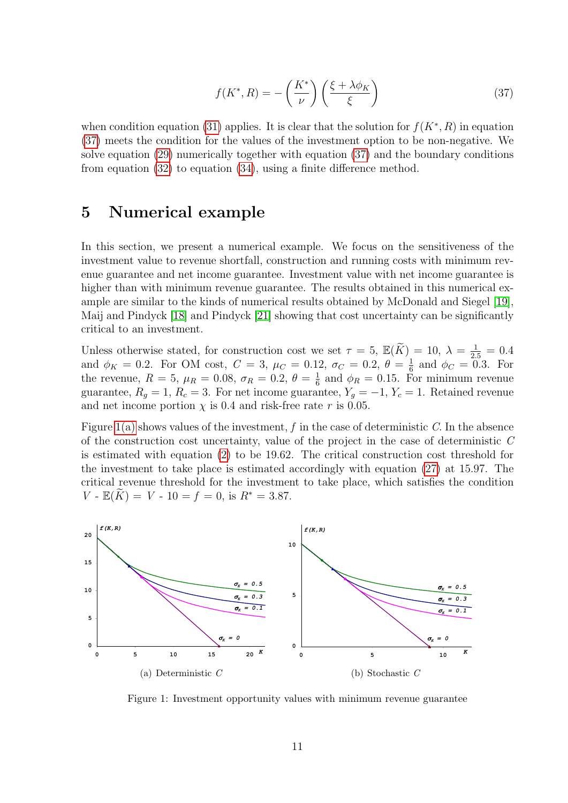<span id="page-10-1"></span>
$$
f(K^*, R) = -\left(\frac{K^*}{\nu}\right) \left(\frac{\xi + \lambda \phi_K}{\xi}\right) \tag{37}
$$

when condition equation [\(31\)](#page-9-0) applies. It is clear that the solution for  $f(K^*, R)$  in equation [\(37\)](#page-10-1) meets the condition for the values of the investment option to be non-negative. We solve equation [\(29\)](#page-8-1) numerically together with equation [\(37\)](#page-10-1) and the boundary conditions from equation [\(32\)](#page-9-2) to equation [\(34\)](#page-9-3), using a finite difference method.

### <span id="page-10-0"></span>5 Numerical example

In this section, we present a numerical example. We focus on the sensitiveness of the investment value to revenue shortfall, construction and running costs with minimum revenue guarantee and net income guarantee. Investment value with net income guarantee is higher than with minimum revenue guarantee. The results obtained in this numerical example are similar to the kinds of numerical results obtained by McDonald and Siegel [\[19\]](#page-15-15), Maij and Pindyck [\[18\]](#page-15-16) and Pindyck [\[21\]](#page-15-14) showing that cost uncertainty can be significantly critical to an investment.

Unless otherwise stated, for construction cost we set  $\tau = 5$ ,  $\mathbb{E}(\widetilde{K}) = 10$ ,  $\lambda = \frac{1}{2.5} = 0.4$ and  $\phi_K = 0.2$ . For OM cost,  $C = 3$ ,  $\mu_C = 0.12$ ,  $\sigma_C = 0.2$ ,  $\theta = \frac{1}{6}$  $\frac{1}{6}$  and  $\phi_C = 0.3$ . For the revenue,  $R = 5, \mu_R = 0.08, \sigma_R = 0.2, \theta = \frac{1}{6}$  $\frac{1}{6}$  and  $\phi_R = 0.15$ . For minimum revenue guarantee,  $R_g = 1$ ,  $R_c = 3$ . For net income guarantee,  $Y_g = -1$ ,  $Y_c = 1$ . Retained revenue and net income portion  $\chi$  is 0.4 and risk-free rate r is 0.05.

Figure  $1(a)$  shows values of the investment, f in the case of deterministic C. In the absence of the construction cost uncertainty, value of the project in the case of deterministic C is estimated with equation [\(2\)](#page-3-0) to be 19.62. The critical construction cost threshold for the investment to take place is estimated accordingly with equation [\(27\)](#page-7-2) at 15.97. The critical revenue threshold for the investment to take place, which satisfies the condition  $V - \mathbb{E}(\tilde{K}) = V - 10 = f = 0$ , is  $R^* = 3.87$ .

<span id="page-10-2"></span>

<span id="page-10-3"></span>Figure 1: Investment opportunity values with minimum revenue guarantee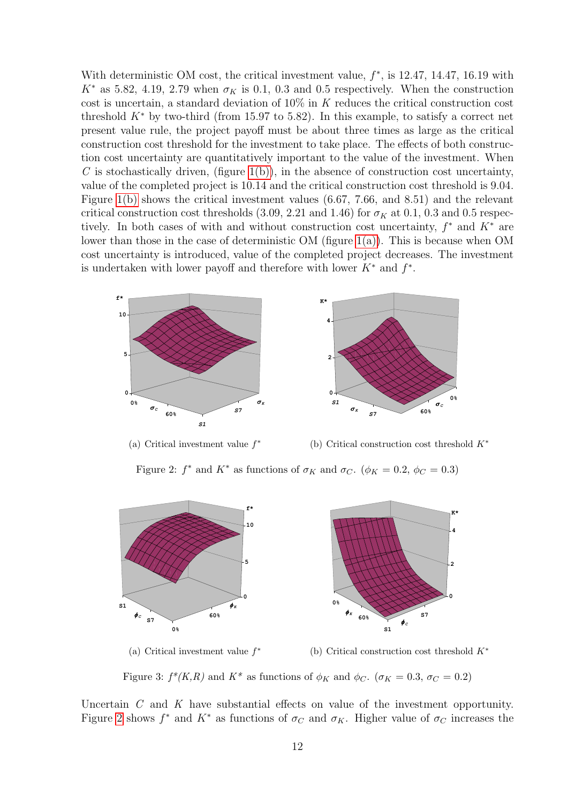With deterministic OM cost, the critical investment value,  $f^*$ , is 12.47, 14.47, 16.19 with  $K^*$  as 5.82, 4.19, 2.79 when  $\sigma_K$  is 0.1, 0.3 and 0.5 respectively. When the construction cost is uncertain, a standard deviation of  $10\%$  in K reduces the critical construction cost threshold  $K^*$  by two-third (from 15.97 to 5.82). In this example, to satisfy a correct net present value rule, the project payoff must be about three times as large as the critical construction cost threshold for the investment to take place. The effects of both construction cost uncertainty are quantitatively important to the value of the investment. When C is stochastically driven, (figure  $1(b)$ ), in the absence of construction cost uncertainty, value of the completed project is 10.14 and the critical construction cost threshold is 9.04. Figure [1\(b\)](#page-10-3) shows the critical investment values (6.67, 7.66, and 8.51) and the relevant critical construction cost thresholds (3.09, 2.21 and 1.46) for  $\sigma_K$  at 0.1, 0.3 and 0.5 respectively. In both cases of with and without construction cost uncertainty,  $f^*$  and  $K^*$  are lower than those in the case of deterministic OM (figure  $1(a)$ ). This is because when OM cost uncertainty is introduced, value of the completed project decreases. The investment is undertaken with lower payoff and therefore with lower  $K^*$  and  $f^*$ .

<span id="page-11-0"></span>

(a) Critical investment value  $f^*$ 

(b) Critical construction cost threshold  $K^*$ 

Figure 2:  $f^*$  and  $K^*$  as functions of  $\sigma_K$  and  $\sigma_C$ .  $(\phi_K = 0.2, \phi_C = 0.3)$ 

<span id="page-11-1"></span>

(a) Critical investment value  $f^*$ (b) Critical construction cost threshold  $K^*$ 

Figure 3:  $f^*(K,R)$  and  $K^*$  as functions of  $\phi_K$  and  $\phi_C$ . ( $\sigma_K = 0.3$ ,  $\sigma_C = 0.2$ )

Uncertain  $C$  and  $K$  have substantial effects on value of the investment opportunity. Figure [2](#page-11-0) shows  $f^*$  and  $K^*$  as functions of  $\sigma_C$  and  $\sigma_K$ . Higher value of  $\sigma_C$  increases the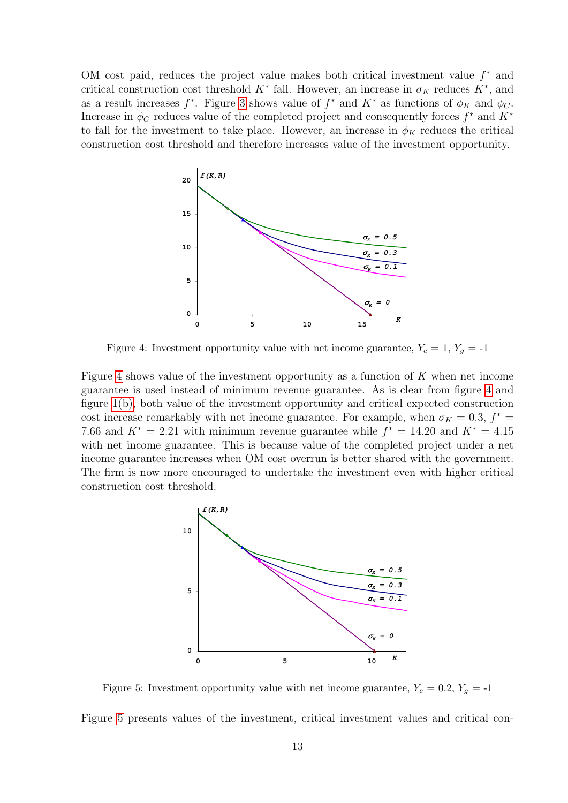OM cost paid, reduces the project value makes both critical investment value  $f^*$  and critical construction cost threshold  $K^*$  fall. However, an increase in  $\sigma_K$  reduces  $K^*$ , and as a result increases  $f^*$ . Figure [3](#page-11-1) shows value of  $f^*$  and  $K^*$  as functions of  $\phi_K$  and  $\phi_C$ . Increase in  $\phi_C$  reduces value of the completed project and consequently forces  $f^*$  and  $K^*$ to fall for the investment to take place. However, an increase in  $\phi_K$  reduces the critical construction cost threshold and therefore increases value of the investment opportunity.

<span id="page-12-0"></span>

Figure 4: Investment opportunity value with net income guarantee,  $Y_c = 1, Y_g = -1$ 

Figure [4](#page-12-0) shows value of the investment opportunity as a function of  $K$  when net income guarantee is used instead of minimum revenue guarantee. As is clear from figure [4](#page-12-0) and figure [1\(b\),](#page-10-3) both value of the investment opportunity and critical expected construction cost increase remarkably with net income guarantee. For example, when  $\sigma_K = 0.3$ ,  $f^* =$ 7.66 and  $K^* = 2.21$  with minimum revenue guarantee while  $f^* = 14.20$  and  $K^* = 4.15$ with net income guarantee. This is because value of the completed project under a net income guarantee increases when OM cost overrun is better shared with the government. The firm is now more encouraged to undertake the investment even with higher critical construction cost threshold.

<span id="page-12-1"></span>

Figure 5: Investment opportunity value with net income guarantee,  $Y_c = 0.2$ ,  $Y_q = -1$ 

Figure [5](#page-12-1) presents values of the investment, critical investment values and critical con-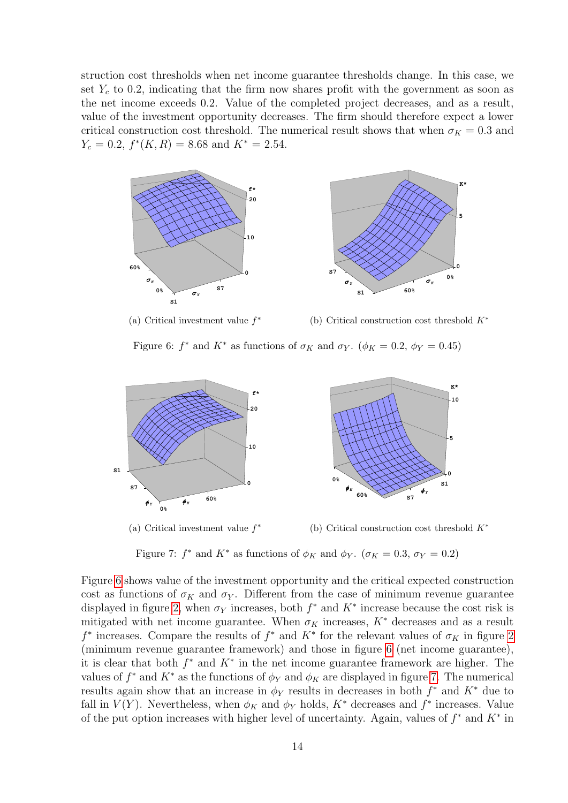struction cost thresholds when net income guarantee thresholds change. In this case, we set  $Y_c$  to 0.2, indicating that the firm now shares profit with the government as soon as the net income exceeds 0.2. Value of the completed project decreases, and as a result, value of the investment opportunity decreases. The firm should therefore expect a lower critical construction cost threshold. The numerical result shows that when  $\sigma_K = 0.3$  and  $Y_c = 0.2, f^*(K, R) = 8.68$  and  $K^* = 2.54$ .

<span id="page-13-0"></span>



(a) Critical investment value  $f^*$ 

(b) Critical construction cost threshold K<sup>∗</sup>

Figure 6:  $f^*$  and  $K^*$  as functions of  $\sigma_K$  and  $\sigma_Y$ .  $(\phi_K = 0.2, \phi_Y = 0.45)$ 

<span id="page-13-1"></span>

(a) Critical investment value  $f^*$ (b) Critical construction cost threshold  $K^*$ 

Figure 7:  $f^*$  and  $K^*$  as functions of  $\phi_K$  and  $\phi_Y$ .  $(\sigma_K = 0.3, \sigma_Y = 0.2)$ 

Figure [6](#page-13-0) shows value of the investment opportunity and the critical expected construction cost as functions of  $\sigma_K$  and  $\sigma_Y$ . Different from the case of minimum revenue guarantee displayed in figure [2,](#page-11-0) when  $\sigma_Y$  increases, both  $f^*$  and  $K^*$  increase because the cost risk is mitigated with net income guarantee. When  $\sigma_K$  increases,  $K^*$  decreases and as a result  $f^*$  increases. Compare the results of  $f^*$  and  $K^*$  for the relevant values of  $\sigma_K$  in figure [2](#page-11-0) (minimum revenue guarantee framework) and those in figure [6](#page-13-0) (net income guarantee), it is clear that both  $f^*$  and  $K^*$  in the net income guarantee framework are higher. The values of  $f^*$  and  $K^*$  as the functions of  $\phi_Y$  and  $\phi_K$  are displayed in figure [7.](#page-13-1) The numerical results again show that an increase in  $\phi_Y$  results in decreases in both  $f^*$  and  $K^*$  due to fall in  $V(Y)$ . Nevertheless, when  $\phi_K$  and  $\phi_Y$  holds,  $K^*$  decreases and  $f^*$  increases. Value of the put option increases with higher level of uncertainty. Again, values of  $f^*$  and  $K^*$  in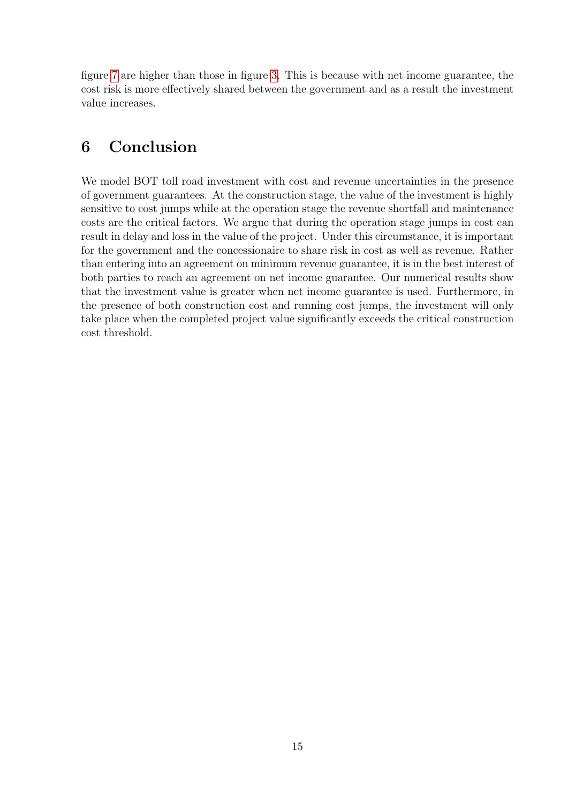figure [7](#page-13-1) are higher than those in figure [3.](#page-11-1) This is because with net income guarantee, the cost risk is more effectively shared between the government and as a result the investment value increases.

# <span id="page-14-0"></span>6 Conclusion

We model BOT toll road investment with cost and revenue uncertainties in the presence of government guarantees. At the construction stage, the value of the investment is highly sensitive to cost jumps while at the operation stage the revenue shortfall and maintenance costs are the critical factors. We argue that during the operation stage jumps in cost can result in delay and loss in the value of the project. Under this circumstance, it is important for the government and the concessionaire to share risk in cost as well as revenue. Rather than entering into an agreement on minimum revenue guarantee, it is in the best interest of both parties to reach an agreement on net income guarantee. Our numerical results show that the investment value is greater when net income guarantee is used. Furthermore, in the presence of both construction cost and running cost jumps, the investment will only take place when the completed project value significantly exceeds the critical construction cost threshold.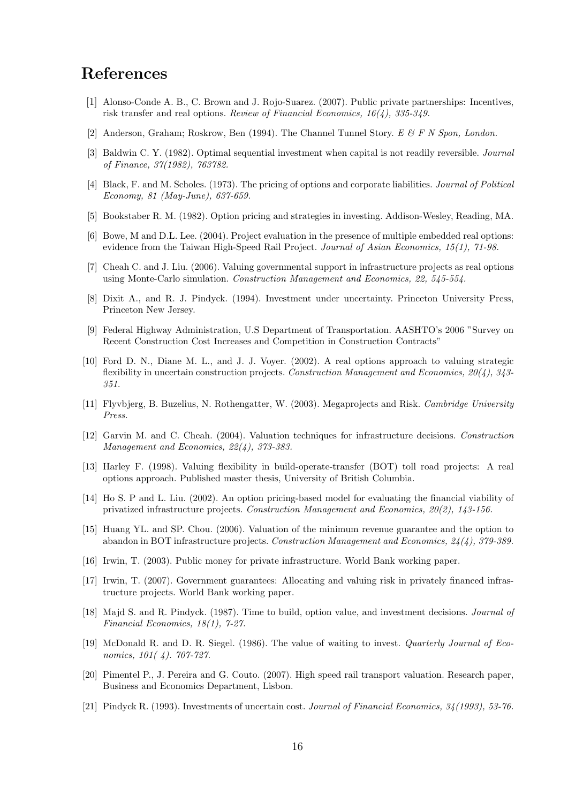## References

- <span id="page-15-5"></span>[1] Alonso-Conde A. B., C. Brown and J. Rojo-Suarez. (2007). Public private partnerships: Incentives, risk transfer and real options. Review of Financial Economics, 16(4), 335-349.
- <span id="page-15-0"></span>[2] Anderson, Graham; Roskrow, Ben (1994). The Channel Tunnel Story. E & F N Spon, London.
- [3] Baldwin C. Y. (1982). Optimal sequential investment when capital is not readily reversible. Journal of Finance, 37(1982), 763782.
- [4] Black, F. and M. Scholes. (1973). The pricing of options and corporate liabilities. Journal of Political Economy, 81 (May-June), 637-659.
- [5] Bookstaber R. M. (1982). Option pricing and strategies in investing. Addison-Wesley, Reading, MA.
- <span id="page-15-6"></span>[6] Bowe, M and D.L. Lee. (2004). Project evaluation in the presence of multiple embedded real options: evidence from the Taiwan High-Speed Rail Project. Journal of Asian Economics, 15(1), 71-98.
- [7] Cheah C. and J. Liu. (2006). Valuing governmental support in infrastructure projects as real options using Monte-Carlo simulation. Construction Management and Economics, 22, 545-554.
- <span id="page-15-4"></span>[8] Dixit A., and R. J. Pindyck. (1994). Investment under uncertainty. Princeton University Press, Princeton New Jersey.
- <span id="page-15-9"></span>[9] Federal Highway Administration, U.S Department of Transportation. AASHTO's 2006 "Survey on Recent Construction Cost Increases and Competition in Construction Contracts"
- <span id="page-15-8"></span>[10] Ford D. N., Diane M. L., and J. J. Voyer. (2002). A real options approach to valuing strategic flexibility in uncertain construction projects. Construction Management and Economics,  $20(4)$ ,  $343-$ 351.
- <span id="page-15-1"></span>[11] Flyvbjerg, B. Buzelius, N. Rothengatter, W. (2003). Megaprojects and Risk. Cambridge University Press.
- <span id="page-15-3"></span>[12] Garvin M. and C. Cheah. (2004). Valuation techniques for infrastructure decisions. Construction Management and Economics, 22(4), 373-383.
- <span id="page-15-11"></span>[13] Harley F. (1998). Valuing flexibility in build-operate-transfer (BOT) toll road projects: A real options approach. Published master thesis, University of British Columbia.
- <span id="page-15-2"></span>[14] Ho S. P and L. Liu. (2002). An option pricing-based model for evaluating the financial viability of privatized infrastructure projects. Construction Management and Economics, 20(2), 143-156.
- <span id="page-15-7"></span>[15] Huang YL. and SP. Chou. (2006). Valuation of the minimum revenue guarantee and the option to abandon in BOT infrastructure projects. Construction Management and Economics, 24(4), 379-389.
- <span id="page-15-12"></span>[16] Irwin, T. (2003). Public money for private infrastructure. World Bank working paper.
- <span id="page-15-13"></span>[17] Irwin, T. (2007). Government guarantees: Allocating and valuing risk in privately financed infrastructure projects. World Bank working paper.
- <span id="page-15-16"></span>[18] Majd S. and R. Pindyck. (1987). Time to build, option value, and investment decisions. Journal of Financial Economics, 18(1), 7-27.
- <span id="page-15-15"></span>[19] McDonald R. and D. R. Siegel. (1986). The value of waiting to invest. Quarterly Journal of Economics, 101(4). 707-727.
- <span id="page-15-10"></span>[20] Pimentel P., J. Pereira and G. Couto. (2007). High speed rail transport valuation. Research paper, Business and Economics Department, Lisbon.
- <span id="page-15-14"></span>[21] Pindyck R. (1993). Investments of uncertain cost. Journal of Financial Economics, 34(1993), 53-76.